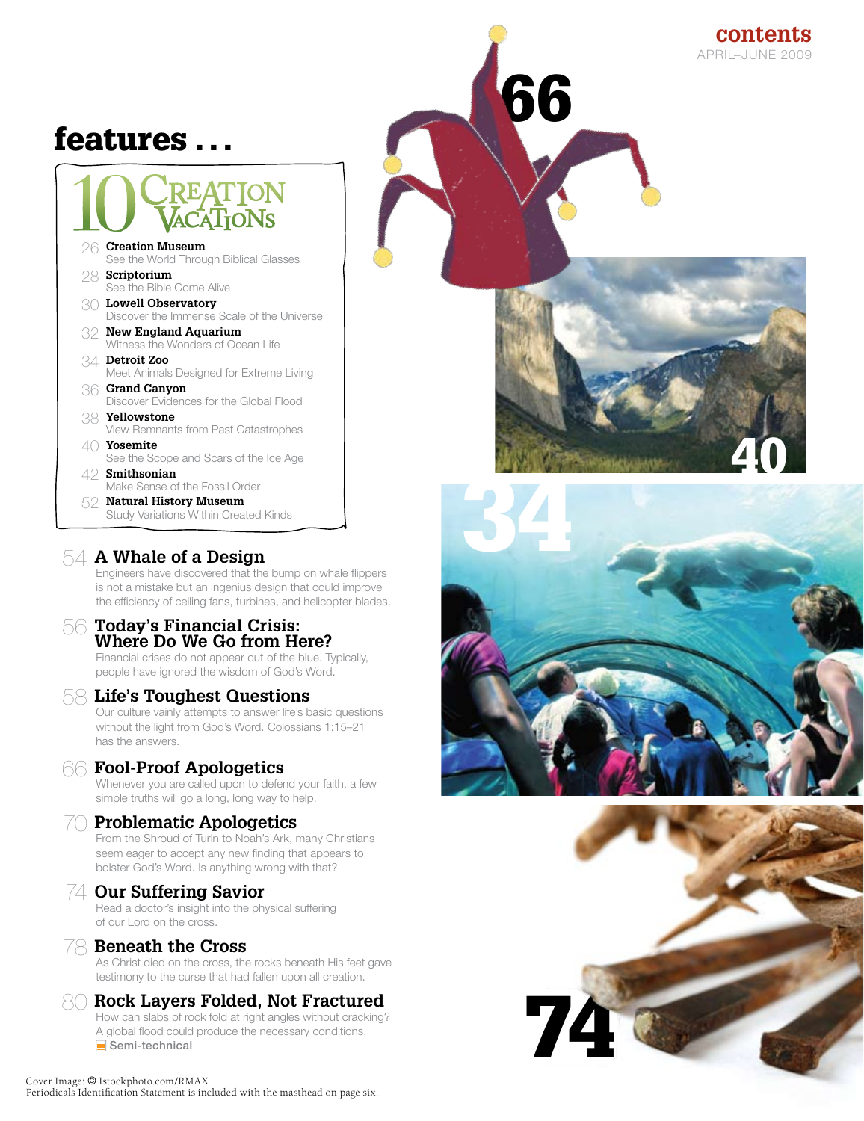# features . . .

# **EATION**

- 26 **Creation Museum** See the World Through Biblical Glasses 28 **Scriptorium** See the Bible Come Alive
- 30 **Lowell Observatory** Discover the Immense Scale of the Universe
- 32 **New England Aquarium** Witness the Wonders of Ocean Life
- 34 **Detroit Zoo** Meet Animals Designed for Extreme Living
- 36 **Grand Canyon** Discover Evidences for the Global Flood
- 38 **Yellowstone** View Remnants from Past Catastrophes
- 40 **Yosemite** See the Scope and Scars of the Ice Age
- 42 **Smithsonian** Make Sense of the Fossil Order
- 52 **Natural History Museum** Study Variations Within Created Kinds

#### 54 **A Whale of a Design**

Engineers have discovered that the bump on whale flippers is not a mistake but an ingenius design that could improve the efficiency of ceiling fans, turbines, and helicopter blades.

# <sup>56</sup> **Today's Financial Crisis: Where Do We Go from Here?**

Financial crises do not appear out of the blue. Typically, people have ignored the wisdom of God's Word.

#### 58 **Life's Toughest Questions**

Our culture vainly attempts to answer life's basic questions without the light from God's Word. Colossians 1:15–21 has the answers.

#### 66 **Fool-Proof Apologetics**

Whenever you are called upon to defend your faith, a few simple truths will go a long, long way to help.

#### 70 **Problematic Apologetics**

From the Shroud of Turin to Noah's Ark, many Christians seem eager to accept any new finding that appears to bolster God's Word. Is anything wrong with that?

#### 74 **Our Suffering Savior**

Read a doctor's insight into the physical suffering of our Lord on the cross.

#### 78 **Beneath the Cross**

As Christ died on the cross, the rocks beneath His feet gave testimony to the curse that had fallen upon all creation.

#### 80 **Rock Layers Folded, Not Fractured**

How can slabs of rock fold at right angles without cracking? A global flood could produce the necessary conditions. Semi-technical



66